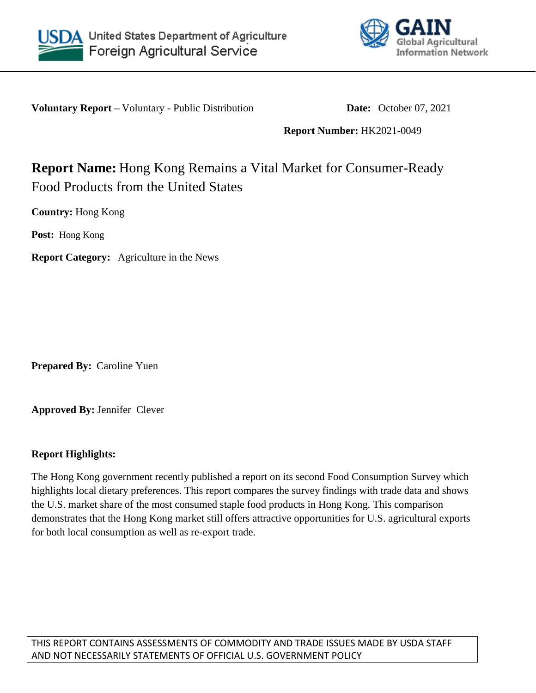



**Voluntary Report –** Voluntary - Public Distribution **Date:** October 07, 2021

**Report Number:** HK2021-0049

# **Report Name:** Hong Kong Remains a Vital Market for Consumer-Ready Food Products from the United States

**Country:** Hong Kong

**Post:** Hong Kong

**Report Category:** Agriculture in the News

**Prepared By:** Caroline Yuen

**Approved By:** Jennifer Clever

### **Report Highlights:**

The Hong Kong government recently published a report on its second Food Consumption Survey which highlights local dietary preferences. This report compares the survey findings with trade data and shows the U.S. market share of the most consumed staple food products in Hong Kong. This comparison demonstrates that the Hong Kong market still offers attractive opportunities for U.S. agricultural exports for both local consumption as well as re-export trade.

THIS REPORT CONTAINS ASSESSMENTS OF COMMODITY AND TRADE ISSUES MADE BY USDA STAFF AND NOT NECESSARILY STATEMENTS OF OFFICIAL U.S. GOVERNMENT POLICY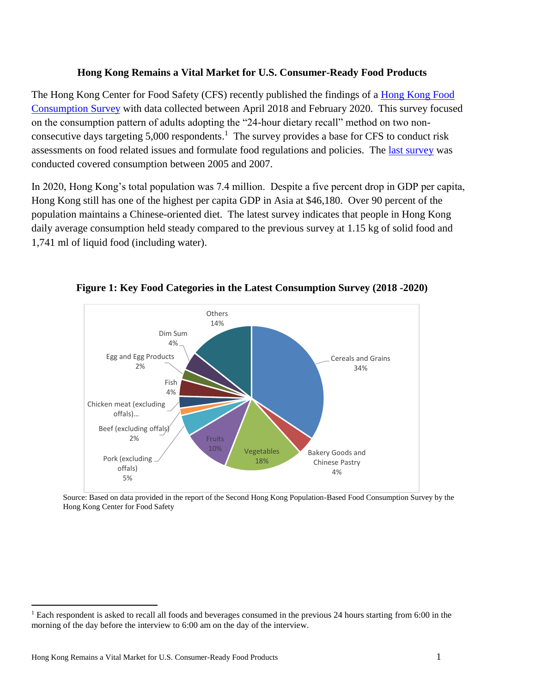### **Hong Kong Remains a Vital Market for U.S. Consumer-Ready Food Products**

The Hong Kong Center for Food Safety (CFS) recently published the findings of a [Hong Kong Food](https://www.cfs.gov.hk/english/programme/programme_firm/files/2nd_FCS_Report_29_Jun_2021.pdf)  [Consumption Survey](https://www.cfs.gov.hk/english/programme/programme_firm/files/2nd_FCS_Report_29_Jun_2021.pdf) with data collected between April 2018 and February 2020. This survey focused on the consumption pattern of adults adopting the "24-hour dietary recall" method on two nonconsecutive days targeting  $5,000$  respondents.<sup>1</sup> The survey provides a base for CFS to conduct risk assessments on food related issues and formulate food regulations and policies. The [last survey](https://www.cfs.gov.hk/english/programme/programme_firm/files/FCS_final_report.pdf) was conducted covered consumption between 2005 and 2007.

In 2020, Hong Kong's total population was 7.4 million. Despite a five percent drop in GDP per capita, Hong Kong still has one of the highest per capita GDP in Asia at \$46,180. Over 90 percent of the population maintains a Chinese-oriented diet. The latest survey indicates that people in Hong Kong daily average consumption held steady compared to the previous survey at 1.15 kg of solid food and 1,741 ml of liquid food (including water).



**Figure 1: Key Food Categories in the Latest Consumption Survey (2018 -2020)**

Source: Based on data provided in the report of the Second Hong Kong Population-Based Food Consumption Survey by the Hong Kong Center for Food Safety

 $\overline{a}$ 

<sup>&</sup>lt;sup>1</sup> Each respondent is asked to recall all foods and beverages consumed in the previous 24 hours starting from 6:00 in the morning of the day before the interview to 6:00 am on the day of the interview.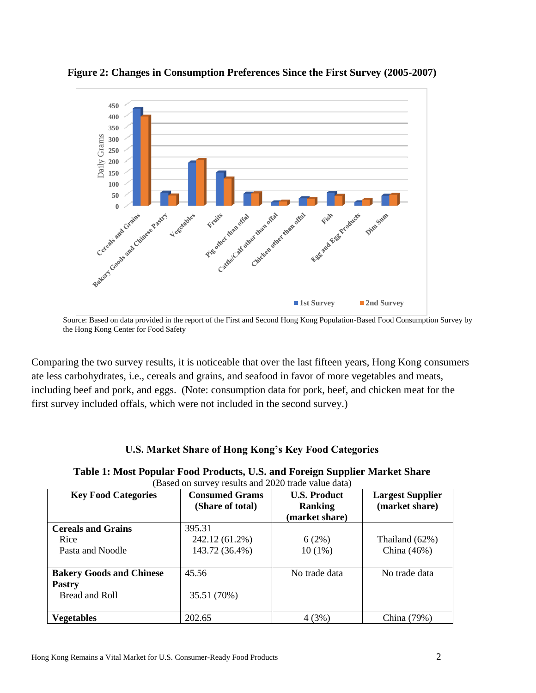

**Figure 2: Changes in Consumption Preferences Since the First Survey (2005-2007)**

Comparing the two survey results, it is noticeable that over the last fifteen years, Hong Kong consumers ate less carbohydrates, i.e., cereals and grains, and seafood in favor of more vegetables and meats, including beef and pork, and eggs. (Note: consumption data for pork, beef, and chicken meat for the first survey included offals, which were not included in the second survey.)

### **U.S. Market Share of Hong Kong's Key Food Categories**

| Table 1: Most Popular Food Products, U.S. and Foreign Supplier Market Share |  |  |
|-----------------------------------------------------------------------------|--|--|
|-----------------------------------------------------------------------------|--|--|

| (Based on survey results and 2020 trade value data) |                       |                     |                         |  |
|-----------------------------------------------------|-----------------------|---------------------|-------------------------|--|
| <b>Key Food Categories</b>                          | <b>Consumed Grams</b> | <b>U.S. Product</b> | <b>Largest Supplier</b> |  |
|                                                     | (Share of total)      | <b>Ranking</b>      | (market share)          |  |
|                                                     |                       | (market share)      |                         |  |
| <b>Cereals and Grains</b>                           | 395.31                |                     |                         |  |
| Rice                                                | 242.12 (61.2%)        | 6(2%)               | Thailand $(62\%)$       |  |
| Pasta and Noodle                                    | 143.72 (36.4%)        | $10(1\%)$           | China (46%)             |  |
|                                                     |                       |                     |                         |  |
| <b>Bakery Goods and Chinese</b>                     | 45.56                 | No trade data       | No trade data           |  |
| <b>Pastry</b>                                       |                       |                     |                         |  |
| Bread and Roll                                      | 35.51 (70%)           |                     |                         |  |
|                                                     |                       |                     |                         |  |
| <b>Vegetables</b>                                   | 202.65                | 4(3%)               | China (79%)             |  |

Source: Based on data provided in the report of the First and Second Hong Kong Population-Based Food Consumption Survey by the Hong Kong Center for Food Safety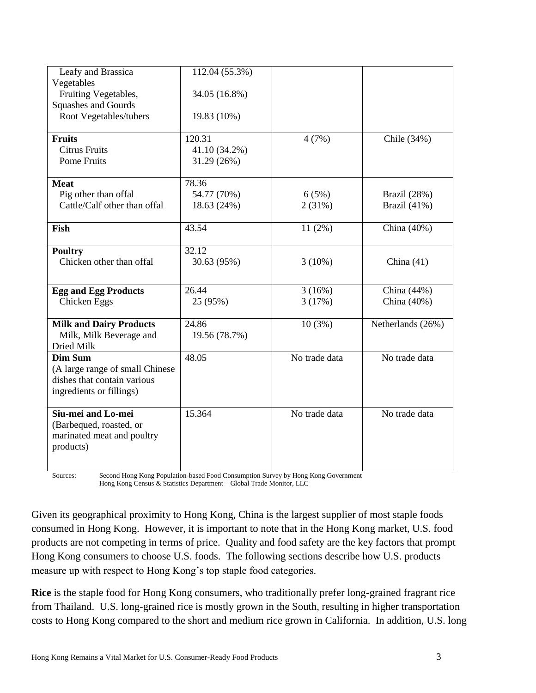| Leafy and Brassica              | 112.04 (55.3%) |               |                   |
|---------------------------------|----------------|---------------|-------------------|
| Vegetables                      |                |               |                   |
| Fruiting Vegetables,            | 34.05 (16.8%)  |               |                   |
|                                 |                |               |                   |
| Squashes and Gourds             |                |               |                   |
| Root Vegetables/tubers          | 19.83 (10%)    |               |                   |
| <b>Fruits</b>                   | 120.31         | 4(7%)         | Chile (34%)       |
| <b>Citrus Fruits</b>            | 41.10 (34.2%)  |               |                   |
| <b>Pome Fruits</b>              | 31.29 (26%)    |               |                   |
|                                 |                |               |                   |
| <b>Meat</b>                     | 78.36          |               |                   |
| Pig other than offal            | 54.77 (70%)    | 6(5%)         | Brazil (28%)      |
| Cattle/Calf other than offal    | 18.63 (24%)    | 2(31%)        | Brazil (41%)      |
|                                 |                |               |                   |
| Fish                            | 43.54          | $11(2\%)$     | China (40%)       |
|                                 |                |               |                   |
| <b>Poultry</b>                  | 32.12          |               |                   |
| Chicken other than offal        | 30.63 (95%)    | $3(10\%)$     | China $(41)$      |
|                                 |                |               |                   |
| <b>Egg and Egg Products</b>     | 26.44          | 3(16%)        | China (44%)       |
| Chicken Eggs                    | 25 (95%)       | 3(17%)        | China (40%)       |
|                                 |                |               |                   |
| <b>Milk and Dairy Products</b>  | 24.86          | 10(3%)        | Netherlands (26%) |
| Milk, Milk Beverage and         | 19.56 (78.7%)  |               |                   |
| Dried Milk                      |                |               |                   |
| <b>Dim Sum</b>                  | 48.05          | No trade data | No trade data     |
| (A large range of small Chinese |                |               |                   |
| dishes that contain various     |                |               |                   |
| ingredients or fillings)        |                |               |                   |
|                                 |                |               |                   |
| Siu-mei and Lo-mei              | 15.364         | No trade data | No trade data     |
| (Barbequed, roasted, or         |                |               |                   |
| marinated meat and poultry      |                |               |                   |
| products)                       |                |               |                   |
|                                 |                |               |                   |
|                                 |                |               |                   |

Sources: Second Hong Kong Population-based Food Consumption Survey by Hong Kong Government Hong Kong Census & Statistics Department – Global Trade Monitor, LLC

Given its geographical proximity to Hong Kong, China is the largest supplier of most staple foods consumed in Hong Kong. However, it is important to note that in the Hong Kong market, U.S. food products are not competing in terms of price. Quality and food safety are the key factors that prompt Hong Kong consumers to choose U.S. foods. The following sections describe how U.S. products measure up with respect to Hong Kong's top staple food categories.

**Rice** is the staple food for Hong Kong consumers, who traditionally prefer long-grained fragrant rice from Thailand. U.S. long-grained rice is mostly grown in the South, resulting in higher transportation costs to Hong Kong compared to the short and medium rice grown in California. In addition, U.S. long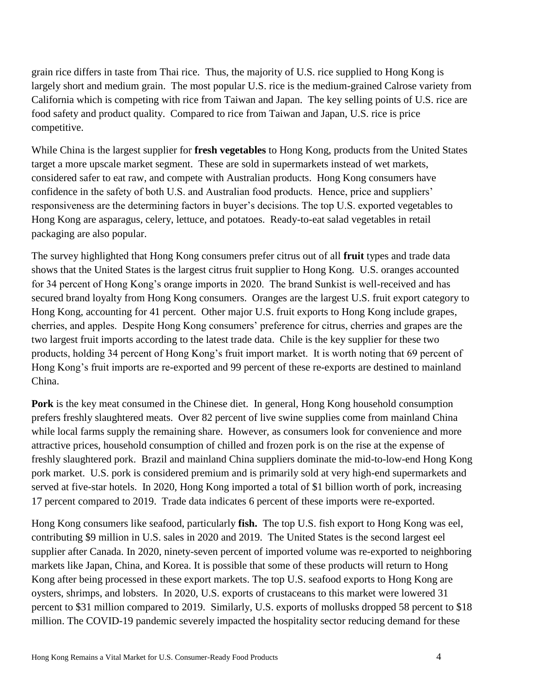grain rice differs in taste from Thai rice. Thus, the majority of U.S. rice supplied to Hong Kong is largely short and medium grain. The most popular U.S. rice is the medium-grained Calrose variety from California which is competing with rice from Taiwan and Japan. The key selling points of U.S. rice are food safety and product quality. Compared to rice from Taiwan and Japan, U.S. rice is price competitive.

While China is the largest supplier for **fresh vegetables** to Hong Kong, products from the United States target a more upscale market segment. These are sold in supermarkets instead of wet markets, considered safer to eat raw, and compete with Australian products. Hong Kong consumers have confidence in the safety of both U.S. and Australian food products. Hence, price and suppliers' responsiveness are the determining factors in buyer's decisions. The top U.S. exported vegetables to Hong Kong are asparagus, celery, lettuce, and potatoes. Ready-to-eat salad vegetables in retail packaging are also popular.

The survey highlighted that Hong Kong consumers prefer citrus out of all **fruit** types and trade data shows that the United States is the largest citrus fruit supplier to Hong Kong. U.S. oranges accounted for 34 percent of Hong Kong's orange imports in 2020. The brand Sunkist is well-received and has secured brand loyalty from Hong Kong consumers. Oranges are the largest U.S. fruit export category to Hong Kong, accounting for 41 percent. Other major U.S. fruit exports to Hong Kong include grapes, cherries, and apples. Despite Hong Kong consumers' preference for citrus, cherries and grapes are the two largest fruit imports according to the latest trade data. Chile is the key supplier for these two products, holding 34 percent of Hong Kong's fruit import market. It is worth noting that 69 percent of Hong Kong's fruit imports are re-exported and 99 percent of these re-exports are destined to mainland China.

**Pork** is the key meat consumed in the Chinese diet. In general, Hong Kong household consumption prefers freshly slaughtered meats. Over 82 percent of live swine supplies come from mainland China while local farms supply the remaining share. However, as consumers look for convenience and more attractive prices, household consumption of chilled and frozen pork is on the rise at the expense of freshly slaughtered pork. Brazil and mainland China suppliers dominate the mid-to-low-end Hong Kong pork market. U.S. pork is considered premium and is primarily sold at very high-end supermarkets and served at five-star hotels. In 2020, Hong Kong imported a total of \$1 billion worth of pork, increasing 17 percent compared to 2019. Trade data indicates 6 percent of these imports were re-exported.

Hong Kong consumers like seafood, particularly **fish.** The top U.S. fish export to Hong Kong was eel, contributing \$9 million in U.S. sales in 2020 and 2019. The United States is the second largest eel supplier after Canada. In 2020, ninety-seven percent of imported volume was re-exported to neighboring markets like Japan, China, and Korea. It is possible that some of these products will return to Hong Kong after being processed in these export markets. The top U.S. seafood exports to Hong Kong are oysters, shrimps, and lobsters. In 2020, U.S. exports of crustaceans to this market were lowered 31 percent to \$31 million compared to 2019. Similarly, U.S. exports of mollusks dropped 58 percent to \$18 million. The COVID-19 pandemic severely impacted the hospitality sector reducing demand for these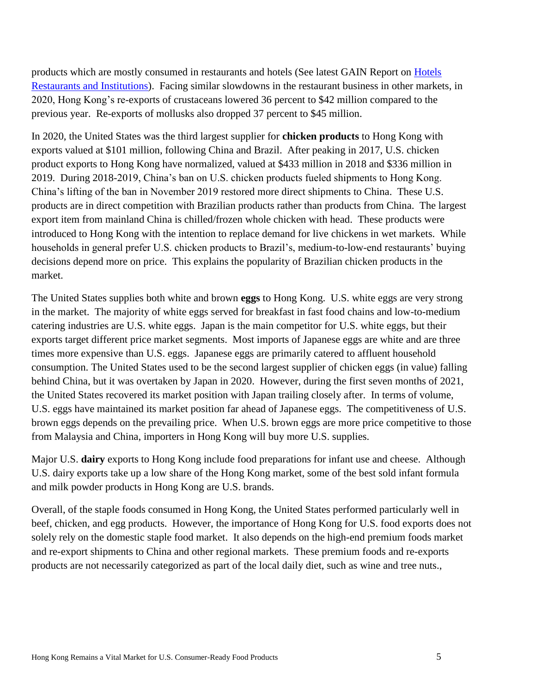products which are mostly consumed in restaurants and hotels (See latest GAIN Report on [Hotels](https://apps.fas.usda.gov/newgainapi/api/Report/DownloadReportByFileName?fileName=Food%20Service%20-%20Hotel%20Restaurant%20Institutional_Hong%20Kong_Hong%20Kong_09-30-2021)  [Restaurants and Institutions\)](https://apps.fas.usda.gov/newgainapi/api/Report/DownloadReportByFileName?fileName=Food%20Service%20-%20Hotel%20Restaurant%20Institutional_Hong%20Kong_Hong%20Kong_09-30-2021). Facing similar slowdowns in the restaurant business in other markets, in 2020, Hong Kong's re-exports of crustaceans lowered 36 percent to \$42 million compared to the previous year. Re-exports of mollusks also dropped 37 percent to \$45 million.

In 2020, the United States was the third largest supplier for **chicken products** to Hong Kong with exports valued at \$101 million, following China and Brazil. After peaking in 2017, U.S. chicken product exports to Hong Kong have normalized, valued at \$433 million in 2018 and \$336 million in 2019. During 2018-2019, China's ban on U.S. chicken products fueled shipments to Hong Kong. China's lifting of the ban in November 2019 restored more direct shipments to China. These U.S. products are in direct competition with Brazilian products rather than products from China. The largest export item from mainland China is chilled/frozen whole chicken with head. These products were introduced to Hong Kong with the intention to replace demand for live chickens in wet markets. While households in general prefer U.S. chicken products to Brazil's, medium-to-low-end restaurants' buying decisions depend more on price. This explains the popularity of Brazilian chicken products in the market.

The United States supplies both white and brown **eggs** to Hong Kong. U.S. white eggs are very strong in the market. The majority of white eggs served for breakfast in fast food chains and low-to-medium catering industries are U.S. white eggs. Japan is the main competitor for U.S. white eggs, but their exports target different price market segments. Most imports of Japanese eggs are white and are three times more expensive than U.S. eggs. Japanese eggs are primarily catered to affluent household consumption. The United States used to be the second largest supplier of chicken eggs (in value) falling behind China, but it was overtaken by Japan in 2020. However, during the first seven months of 2021, the United States recovered its market position with Japan trailing closely after. In terms of volume, U.S. eggs have maintained its market position far ahead of Japanese eggs. The competitiveness of U.S. brown eggs depends on the prevailing price. When U.S. brown eggs are more price competitive to those from Malaysia and China, importers in Hong Kong will buy more U.S. supplies.

Major U.S. **dairy** exports to Hong Kong include food preparations for infant use and cheese. Although U.S. dairy exports take up a low share of the Hong Kong market, some of the best sold infant formula and milk powder products in Hong Kong are U.S. brands.

Overall, of the staple foods consumed in Hong Kong, the United States performed particularly well in beef, chicken, and egg products. However, the importance of Hong Kong for U.S. food exports does not solely rely on the domestic staple food market. It also depends on the high-end premium foods market and re-export shipments to China and other regional markets. These premium foods and re-exports products are not necessarily categorized as part of the local daily diet, such as wine and tree nuts.,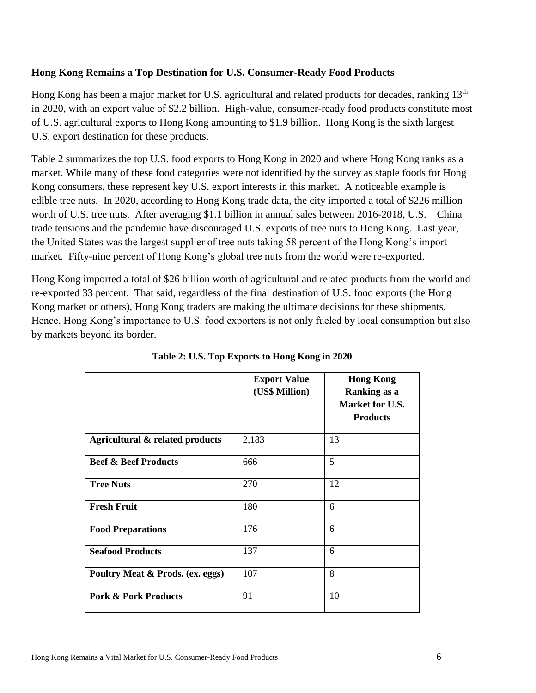### **Hong Kong Remains a Top Destination for U.S. Consumer-Ready Food Products**

Hong Kong has been a major market for U.S. agricultural and related products for decades, ranking 13<sup>th</sup> in 2020, with an export value of \$2.2 billion. High-value, consumer-ready food products constitute most of U.S. agricultural exports to Hong Kong amounting to \$1.9 billion. Hong Kong is the sixth largest U.S. export destination for these products.

Table 2 summarizes the top U.S. food exports to Hong Kong in 2020 and where Hong Kong ranks as a market. While many of these food categories were not identified by the survey as staple foods for Hong Kong consumers, these represent key U.S. export interests in this market. A noticeable example is edible tree nuts. In 2020, according to Hong Kong trade data, the city imported a total of \$226 million worth of U.S. tree nuts. After averaging \$1.1 billion in annual sales between 2016-2018, U.S. – China trade tensions and the pandemic have discouraged U.S. exports of tree nuts to Hong Kong. Last year, the United States was the largest supplier of tree nuts taking 58 percent of the Hong Kong's import market. Fifty-nine percent of Hong Kong's global tree nuts from the world were re-exported.

Hong Kong imported a total of \$26 billion worth of agricultural and related products from the world and re-exported 33 percent. That said, regardless of the final destination of U.S. food exports (the Hong Kong market or others), Hong Kong traders are making the ultimate decisions for these shipments. Hence, Hong Kong's importance to U.S. food exporters is not only fueled by local consumption but also by markets beyond its border.

|                                  | <b>Export Value</b><br>(US\$ Million) | <b>Hong Kong</b><br>Ranking as a<br>Market for U.S.<br><b>Products</b> |
|----------------------------------|---------------------------------------|------------------------------------------------------------------------|
| Agricultural & related products  | 2,183                                 | 13                                                                     |
| <b>Beef &amp; Beef Products</b>  | 666                                   | 5                                                                      |
| <b>Tree Nuts</b>                 | 270                                   | 12                                                                     |
| <b>Fresh Fruit</b>               | 180                                   | 6                                                                      |
| <b>Food Preparations</b>         | 176                                   | 6                                                                      |
| <b>Seafood Products</b>          | 137                                   | 6                                                                      |
| Poultry Meat & Prods. (ex. eggs) | 107                                   | 8                                                                      |
| <b>Pork &amp; Pork Products</b>  | 91                                    | 10                                                                     |

**Table 2: U.S. Top Exports to Hong Kong in 2020**